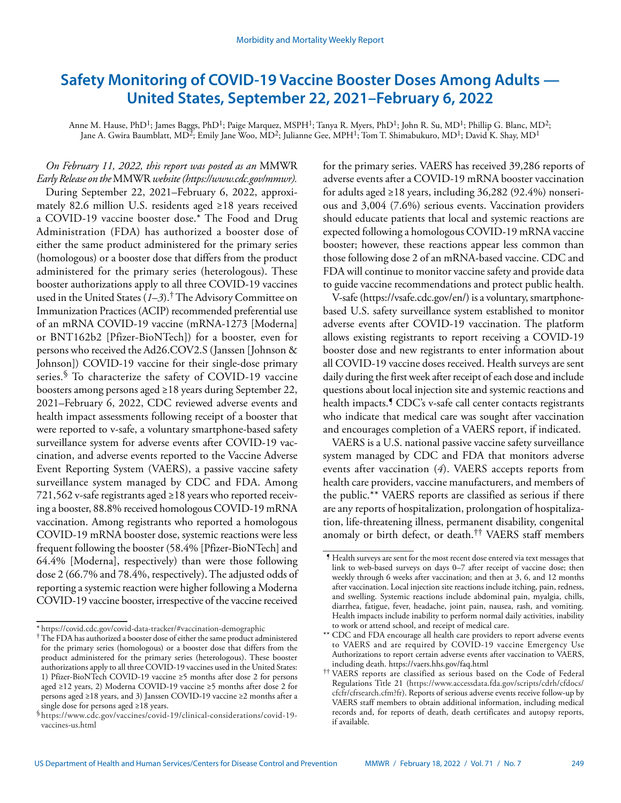# **Safety Monitoring of COVID-19 Vaccine Booster Doses Among Adults — United States, September 22, 2021–February 6, 2022**

Anne M. Hause, PhD<sup>1</sup>; James Baggs, PhD<sup>1</sup>; Paige Marquez, MSPH<sup>1</sup>; Tanya R. Myers, PhD<sup>1</sup>; John R. Su, MD<sup>1</sup>; Phillip G. Blanc, MD<sup>2</sup>; Jane A. Gwira Baumblatt, MD<sup>2</sup>; Emily Jane Woo, MD<sup>2</sup>; Julianne Gee, MPH<sup>1</sup>; Tom T. Shimabukuro, MD<sup>1</sup>; David K. Shay, MD<sup>1</sup>

*On February 11, 2022, this report was posted as an* MMWR *Early Release on the* MMWR *website (<https://www.cdc.gov/mmwr>).*  During September 22, 2021–February 6, 2022, approximately 82.6 million U.S. residents aged ≥18 years received a COVID-19 vaccine booster dose.\* The Food and Drug Administration (FDA) has authorized a booster dose of either the same product administered for the primary series (homologous) or a booster dose that differs from the product administered for the primary series (heterologous). These booster authorizations apply to all three COVID-19 vaccines used in the United States (*1*–*3*).† The Advisory Committee on Immunization Practices (ACIP) recommended preferential use of an mRNA COVID-19 vaccine (mRNA-1273 [Moderna] or BNT162b2 [Pfizer-BioNTech]) for a booster, even for persons who received the Ad26.COV2.S (Janssen [Johnson & Johnson]) COVID-19 vaccine for their single-dose primary series.<sup>§</sup> To characterize the safety of COVID-19 vaccine boosters among persons aged ≥18 years during September 22, 2021–February 6, 2022, CDC reviewed adverse events and health impact assessments following receipt of a booster that were reported to v-safe, a voluntary smartphone-based safety surveillance system for adverse events after COVID-19 vaccination, and adverse events reported to the Vaccine Adverse Event Reporting System (VAERS), a passive vaccine safety surveillance system managed by CDC and FDA. Among 721,562 v-safe registrants aged ≥18 years who reported receiving a booster, 88.8% received homologous COVID-19 mRNA vaccination. Among registrants who reported a homologous COVID-19 mRNA booster dose, systemic reactions were less frequent following the booster (58.4% [Pfizer-BioNTech] and 64.4% [Moderna], respectively) than were those following dose 2 (66.7% and 78.4%, respectively). The adjusted odds of reporting a systemic reaction were higher following a Moderna COVID-19 vaccine booster, irrespective of the vaccine received

for the primary series. VAERS has received 39,286 reports of adverse events after a COVID-19 mRNA booster vaccination for adults aged  $\geq$ 18 years, including 36,282 (92.4%) nonserious and 3,004 (7.6%) serious events. Vaccination providers should educate patients that local and systemic reactions are expected following a homologous COVID-19 mRNA vaccine booster; however, these reactions appear less common than those following dose 2 of an mRNA-based vaccine. CDC and FDA will continue to monitor vaccine safety and provide data to guide vaccine recommendations and protect public health.

V-safe (https://vsafe.cdc.gov/en/) is a voluntary, smartphonebased U.S. safety surveillance system established to monitor adverse events after COVID-19 vaccination. The platform allows existing registrants to report receiving a COVID-19 booster dose and new registrants to enter information about all COVID-19 vaccine doses received. Health surveys are sent daily during the first week after receipt of each dose and include questions about local injection site and systemic reactions and health impacts.<sup>9</sup> CDC's v-safe call center contacts registrants who indicate that medical care was sought after vaccination and encourages completion of a VAERS report, if indicated.

VAERS is a U.S. national passive vaccine safety surveillance system managed by CDC and FDA that monitors adverse events after vaccination (*4*). VAERS accepts reports from health care providers, vaccine manufacturers, and members of the public.\*\* VAERS reports are classified as serious if there are any reports of hospitalization, prolongation of hospitalization, life-threatening illness, permanent disability, congenital anomaly or birth defect, or death.†† VAERS staff members

<sup>\*</sup> <https://covid.cdc.gov/covid-data-tracker/#vaccination-demographic>

<sup>†</sup>The FDA has authorized a booster dose of either the same product administered for the primary series (homologous) or a booster dose that differs from the product administered for the primary series (heterologous). These booster authorizations apply to all three COVID-19 vaccines used in the United States: 1) Pfizer-BioNTech COVID-19 vaccine ≥5 months after dose 2 for persons aged ≥12 years, 2) Moderna COVID-19 vaccine ≥5 months after dose 2 for persons aged ≥18 years, and 3) Janssen COVID-19 vaccine ≥2 months after a single dose for persons aged ≥18 years.

<sup>§</sup>[https://www.cdc.gov/vaccines/covid-19/clinical-considerations/covid-19](https://www.cdc.gov/vaccines/covid-19/clinical-considerations/covid-19-vaccines-us.html) [vaccines-us.html](https://www.cdc.gov/vaccines/covid-19/clinical-considerations/covid-19-vaccines-us.html)

<sup>¶</sup> Health surveys are sent for the most recent dose entered via text messages that link to web-based surveys on days 0–7 after receipt of vaccine dose; then weekly through 6 weeks after vaccination; and then at 3, 6, and 12 months after vaccination. Local injection site reactions include itching, pain, redness, and swelling. Systemic reactions include abdominal pain, myalgia, chills, diarrhea, fatigue, fever, headache, joint pain, nausea, rash, and vomiting. Health impacts include inability to perform normal daily activities, inability to work or attend school, and receipt of medical care.

<sup>\*\*</sup> CDC and FDA encourage all health care providers to report adverse events to VAERS and are required by COVID-19 vaccine Emergency Use Authorizations to report certain adverse events after vaccination to VAERS, including death. https://vaers.hhs.gov/faq.html

<sup>††</sup> VAERS reports are classified as serious based on the Code of Federal Regulations Title 21 ([https://www.accessdata.fda.gov/scripts/cdrh/cfdocs/](https://www.accessdata.fda.gov/scripts/cdrh/cfdocs/cfcfr/cfrsearch.cfm?fr) [cfcfr/cfrsearch.cfm?fr](https://www.accessdata.fda.gov/scripts/cdrh/cfdocs/cfcfr/cfrsearch.cfm?fr)). Reports of serious adverse events receive follow-up by VAERS staff members to obtain additional information, including medical records and, for reports of death, death certificates and autopsy reports, if available.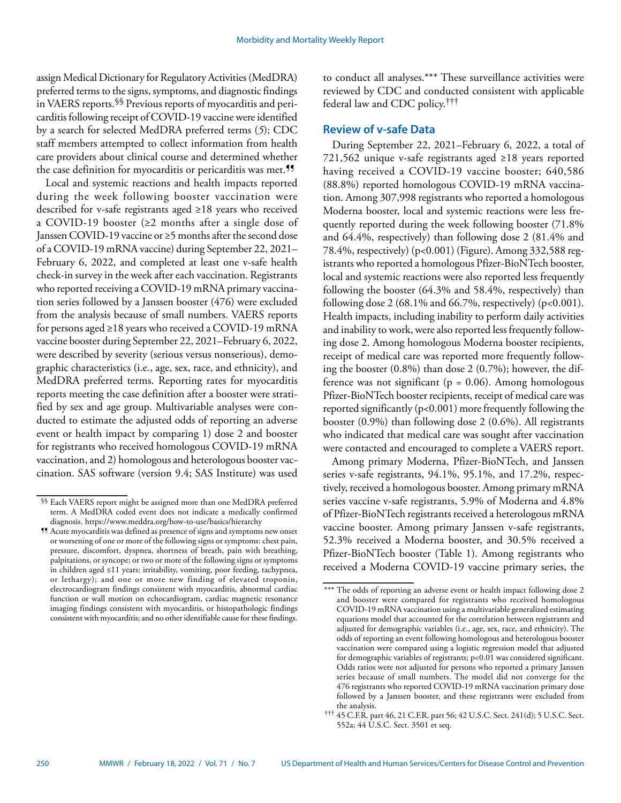assign Medical Dictionary for Regulatory Activities (MedDRA) preferred terms to the signs, symptoms, and diagnostic findings in VAERS reports.§§ Previous reports of myocarditis and pericarditis following receipt of COVID-19 vaccine were identified by a search for selected MedDRA preferred terms (*5*); CDC staff members attempted to collect information from health care providers about clinical course and determined whether the case definition for myocarditis or pericarditis was met.<sup>11</sup>

Local and systemic reactions and health impacts reported during the week following booster vaccination were described for v-safe registrants aged ≥18 years who received a COVID-19 booster (≥2 months after a single dose of Janssen COVID-19 vaccine or ≥5 months after the second dose of a COVID-19 mRNA vaccine) during September 22, 2021– February 6, 2022, and completed at least one v-safe health check-in survey in the week after each vaccination. Registrants who reported receiving a COVID-19 mRNA primary vaccination series followed by a Janssen booster (476) were excluded from the analysis because of small numbers. VAERS reports for persons aged ≥18 years who received a COVID-19 mRNA vaccine booster during September 22, 2021–February 6, 2022, were described by severity (serious versus nonserious), demographic characteristics (i.e., age, sex, race, and ethnicity), and MedDRA preferred terms. Reporting rates for myocarditis reports meeting the case definition after a booster were stratified by sex and age group. Multivariable analyses were conducted to estimate the adjusted odds of reporting an adverse event or health impact by comparing 1) dose 2 and booster for registrants who received homologous COVID-19 mRNA vaccination, and 2) homologous and heterologous booster vaccination. SAS software (version 9.4; SAS Institute) was used

to conduct all analyses.\*\*\* These surveillance activities were reviewed by CDC and conducted consistent with applicable federal law and CDC policy.†††

# **Review of v-safe Data**

During September 22, 2021–February 6, 2022, a total of 721,562 unique v-safe registrants aged ≥18 years reported having received a COVID-19 vaccine booster; 640,586 (88.8%) reported homologous COVID-19 mRNA vaccination. Among 307,998 registrants who reported a homologous Moderna booster, local and systemic reactions were less frequently reported during the week following booster (71.8% and 64.4%, respectively) than following dose 2 (81.4% and 78.4%, respectively) (p<0.001) (Figure). Among 332,588 registrants who reported a homologous Pfizer-BioNTech booster, local and systemic reactions were also reported less frequently following the booster (64.3% and 58.4%, respectively) than following dose 2 (68.1% and 66.7%, respectively) ( $p<0.001$ ). Health impacts, including inability to perform daily activities and inability to work, were also reported less frequently following dose 2. Among homologous Moderna booster recipients, receipt of medical care was reported more frequently following the booster (0.8%) than dose 2 (0.7%); however, the difference was not significant ( $p = 0.06$ ). Among homologous Pfizer-BioNTech booster recipients, receipt of medical care was reported significantly (p<0.001) more frequently following the booster (0.9%) than following dose 2 (0.6%). All registrants who indicated that medical care was sought after vaccination were contacted and encouraged to complete a VAERS report.

Among primary Moderna, Pfizer-BioNTech, and Janssen series v-safe registrants, 94.1%, 95.1%, and 17.2%, respectively, received a homologous booster. Among primary mRNA series vaccine v-safe registrants, 5.9% of Moderna and 4.8% of Pfizer-BioNTech registrants received a heterologous mRNA vaccine booster. Among primary Janssen v-safe registrants, 52.3% received a Moderna booster, and 30.5% received a Pfizer-BioNTech booster (Table 1). Among registrants who received a Moderna COVID-19 vaccine primary series, the

<sup>§§</sup> Each VAERS report might be assigned more than one MedDRA preferred term. A MedDRA coded event does not indicate a medically confirmed diagnosis. https://www.meddra.org/how-to-use/basics/hierarchy

<sup>¶¶</sup> Acute myocarditis was defined as presence of signs and symptoms new onset or worsening of one or more of the following signs or symptoms: chest pain, pressure, discomfort, dyspnea, shortness of breath, pain with breathing, palpitations, or syncope; or two or more of the following signs or symptoms in children aged ≤11 years: irritability, vomiting, poor feeding, tachypnea, or lethargy); and one or more new finding of elevated troponin, electrocardiogram findings consistent with myocarditis, abnormal cardiac function or wall motion on echocardiogram, cardiac magnetic resonance imaging findings consistent with myocarditis, or histopathologic findings consistent with myocarditis; and no other identifiable cause for these findings.

<sup>\*\*\*</sup> The odds of reporting an adverse event or health impact following dose 2 and booster were compared for registrants who received homologous COVID-19 mRNA vaccination using a multivariable generalized estimating equations model that accounted for the correlation between registrants and adjusted for demographic variables (i.e., age, sex, race, and ethnicity). The odds of reporting an event following homologous and heterologous booster vaccination were compared using a logistic regression model that adjusted for demographic variables of registrants; p<0.01 was considered significant. Odds ratios were not adjusted for persons who reported a primary Janssen series because of small numbers. The model did not converge for the 476 registrants who reported COVID-19 mRNA vaccination primary dose followed by a Janssen booster, and these registrants were excluded from the analysis.

<sup>†††</sup> 45 C.F.R. part 46, 21 C.F.R. part 56; 42 U.S.C. Sect. 241(d); 5 U.S.C. Sect. 552a; 44 U.S.C. Sect. 3501 et seq.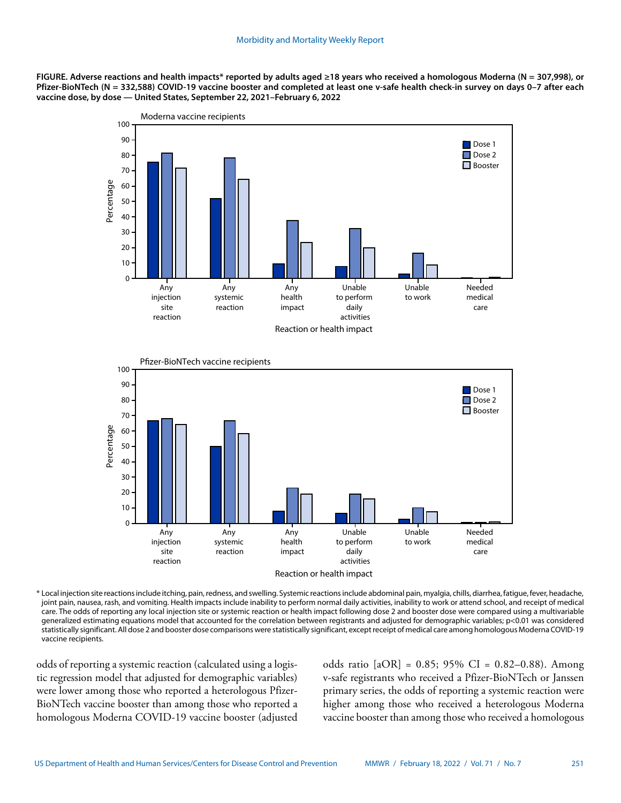**FIGURE. Adverse reactions and health impacts\* reported by adults aged ≥18 years who received a homologous Moderna (N = 307,998), or Pfizer-BioNTech (N = 332,588) COVID-19 vaccine booster and completed at least one v-safe health check-in survey on days 0–7 after each vaccine dose, by dose — United States, September 22, 2021–February 6, 2022**





\* Local injection site reactions include itching, pain, redness, and swelling. Systemic reactions include abdominal pain, myalgia, chills, diarrhea, fatigue, fever, headache, joint pain, nausea, rash, and vomiting. Health impacts include inability to perform normal daily activities, inability to work or attend school, and receipt of medical care. The odds of reporting any local injection site or systemic reaction or health impact following dose 2 and booster dose were compared using a multivariable generalized estimating equations model that accounted for the correlation between registrants and adjusted for demographic variables; p<0.01 was considered statistically significant. All dose 2 and booster dose comparisons were statistically significant, except receipt of medical care among homologous Moderna COVID-19 vaccine recipients.

odds of reporting a systemic reaction (calculated using a logistic regression model that adjusted for demographic variables) were lower among those who reported a heterologous Pfizer-BioNTech vaccine booster than among those who reported a homologous Moderna COVID-19 vaccine booster (adjusted odds ratio  $[aOR] = 0.85$ ; 95% CI = 0.82-0.88). Among v-safe registrants who received a Pfizer-BioNTech or Janssen primary series, the odds of reporting a systemic reaction were higher among those who received a heterologous Moderna vaccine booster than among those who received a homologous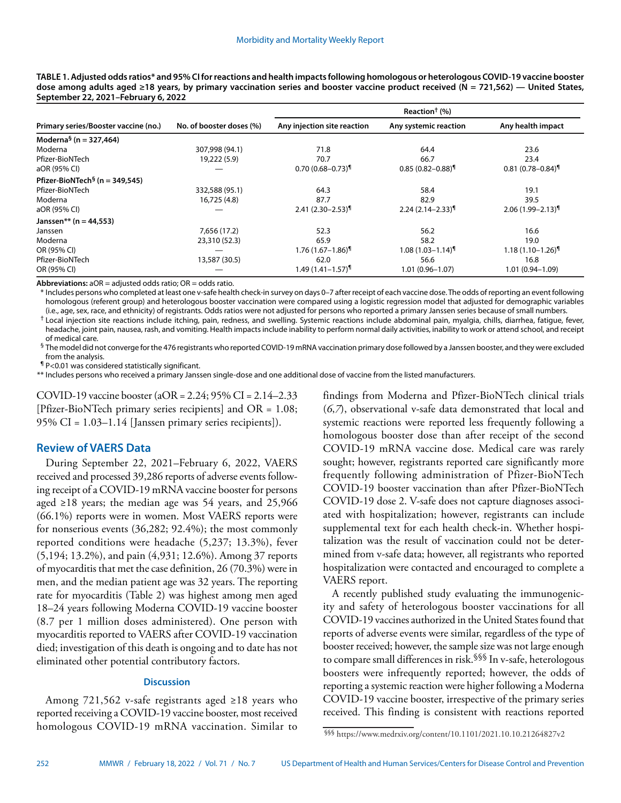**TABLE 1. Adjusted odds ratios\* and 95% CI for reactions and health impacts following homologous or heterologous COVID-19 vaccine booster dose among adults aged ≥18 years, by primary vaccination series and booster vaccine product received (N = 721,562) — United States, September 22, 2021–February 6, 2022**

|                                            | No. of booster doses (%) | Reaction <sup>†</sup> $(\%)$ |                                  |                                  |
|--------------------------------------------|--------------------------|------------------------------|----------------------------------|----------------------------------|
| Primary series/Booster vaccine (no.)       |                          | Any injection site reaction  | Any systemic reaction            | Any health impact                |
| Moderna <sup>§</sup> (n = 327,464)         |                          |                              |                                  |                                  |
| Moderna                                    | 307,998 (94.1)           | 71.8                         | 64.4                             | 23.6                             |
| Pfizer-BioNTech                            | 19,222 (5.9)             | 70.7                         | 66.7                             | 23.4                             |
| aOR (95% CI)                               |                          | $0.70(0.68 - 0.73)$          | $0.85(0.82 - 0.88)$              | $0.81(0.78 - 0.84)$ <sup>1</sup> |
| Pfizer-BioNTech <sup>§</sup> (n = 349,545) |                          |                              |                                  |                                  |
| Pfizer-BioNTech                            | 332,588 (95.1)           | 64.3                         | 58.4                             | 19.1                             |
| Moderna                                    | 16,725 (4.8)             | 87.7                         | 82.9                             | 39.5                             |
| aOR (95% CI)                               |                          | $2.41 (2.30 - 2.53)^$        | $2.24(2.14 - 2.33)^9$            | $2.06(1.99 - 2.13)^{1}$          |
| Janssen** (n = 44,553)                     |                          |                              |                                  |                                  |
| Janssen                                    | 7,656 (17.2)             | 52.3                         | 56.2                             | 16.6                             |
| Moderna                                    | 23,310 (52.3)            | 65.9                         | 58.2                             | 19.0                             |
| OR (95% CI)                                |                          | $1.76(1.67 - 1.86)$          | $1.08(1.03 - 1.14)$ <sup>1</sup> | $1.18(1.10 - 1.26)$ <sup>1</sup> |
| Pfizer-BioNTech                            | 13,587 (30.5)            | 62.0                         | 56.6                             | 16.8                             |
| OR (95% CI)                                |                          | $1.49(1.41 - 1.57)^T$        | $1.01(0.96 - 1.07)$              | $1.01(0.94 - 1.09)$              |

**Abbreviations:** aOR = adjusted odds ratio; OR = odds ratio.

\* Includes persons who completed at least one v-safe health check-in survey on days 0–7 after receipt of each vaccine dose. The odds of reporting an event following homologous (referent group) and heterologous booster vaccination were compared using a logistic regression model that adjusted for demographic variables (i.e., age, sex, race, and ethnicity) of registrants. Odds ratios were not adjusted for persons who reported a primary Janssen series because of small numbers.

 $^\dagger$  Local injection site reactions include itching, pain, redness, and swelling. Systemic reactions include abdominal pain, myalgia, chills, diarrhea, fatigue, fever, headache, joint pain, nausea, rash, and vomiting. Health impacts include inability to perform normal daily activities, inability to work or attend school, and receipt of medical care.

§ The model did not converge for the 476 registrants who reported COVID-19 mRNA vaccination primary dose followed by a Janssen booster, and they were excluded from the analysis.

¶ P<0.01 was considered statistically significant.

\*\* Includes persons who received a primary Janssen single-dose and one additional dose of vaccine from the listed manufacturers.

COVID-19 vaccine booster (aOR = 2.24; 95% CI = 2.14–2.33 [Pfizer-BioNTech primary series recipients] and OR = 1.08; 95% CI = 1.03–1.14 [Janssen primary series recipients]).

# **Review of VAERS Data**

During September 22, 2021–February 6, 2022, VAERS received and processed 39,286 reports of adverse events following receipt of a COVID-19 mRNA vaccine booster for persons aged ≥18 years; the median age was 54 years, and 25,966 (66.1%) reports were in women. Most VAERS reports were for nonserious events (36,282; 92.4%); the most commonly reported conditions were headache (5,237; 13.3%), fever (5,194; 13.2%), and pain (4,931; 12.6%). Among 37 reports of myocarditis that met the case definition, 26 (70.3%) were in men, and the median patient age was 32 years. The reporting rate for myocarditis (Table 2) was highest among men aged 18–24 years following Moderna COVID-19 vaccine booster (8.7 per 1 million doses administered). One person with myocarditis reported to VAERS after COVID-19 vaccination died; investigation of this death is ongoing and to date has not eliminated other potential contributory factors.

## **Discussion**

Among 721,562 v-safe registrants aged ≥18 years who reported receiving a COVID-19 vaccine booster, most received homologous COVID-19 mRNA vaccination. Similar to findings from Moderna and Pfizer-BioNTech clinical trials (*6*,*7*), observational v-safe data demonstrated that local and systemic reactions were reported less frequently following a homologous booster dose than after receipt of the second COVID-19 mRNA vaccine dose. Medical care was rarely sought; however, registrants reported care significantly more frequently following administration of Pfizer-BioNTech COVID-19 booster vaccination than after Pfizer-BioNTech COVID-19 dose 2. V-safe does not capture diagnoses associated with hospitalization; however, registrants can include supplemental text for each health check-in. Whether hospitalization was the result of vaccination could not be determined from v-safe data; however, all registrants who reported hospitalization were contacted and encouraged to complete a VAERS report.

A recently published study evaluating the immunogenicity and safety of heterologous booster vaccinations for all COVID-19 vaccines authorized in the United States found that reports of adverse events were similar, regardless of the type of booster received; however, the sample size was not large enough to compare small differences in risk.§§§ In v-safe, heterologous boosters were infrequently reported; however, the odds of reporting a systemic reaction were higher following a Moderna COVID-19 vaccine booster, irrespective of the primary series received. This finding is consistent with reactions reported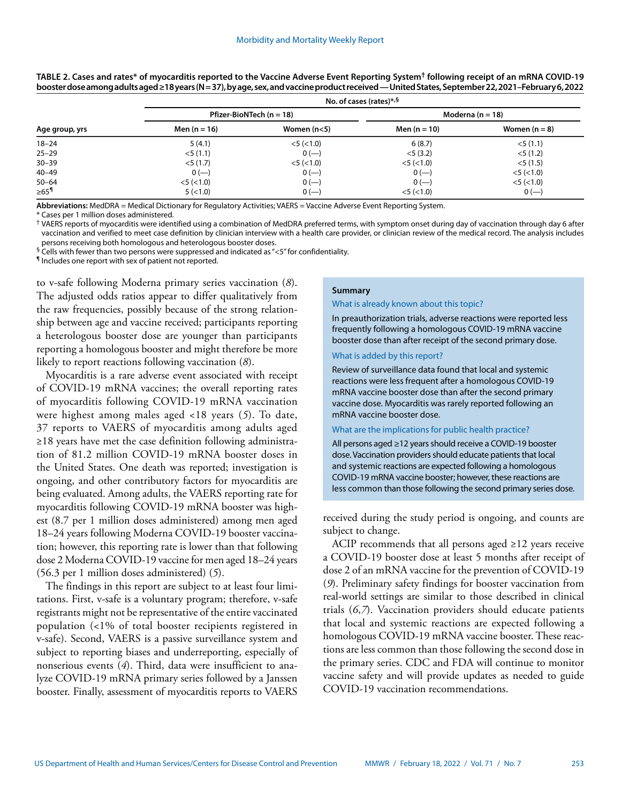| Age group, yrs     | No. of cases (rates)*,§      |                  |                      |                  |  |
|--------------------|------------------------------|------------------|----------------------|------------------|--|
|                    | Pfizer-BioNTech ( $n = 18$ ) |                  | Moderna ( $n = 18$ ) |                  |  |
|                    | Men $(n = 16)$               | Women $(n<5)$    | Men $(n = 10)$       | Women $(n = 8)$  |  |
| $18 - 24$          | 5(4.1)                       | $<$ 5 ( $<$ 1.0) | 6(8.7)               | $<$ 5 (1.1)      |  |
| $25 - 29$          | $<$ 5 (1.1)                  | $0 (-)$          | $<$ 5 (3.2)          | $<$ 5 (1.2)      |  |
| $30 - 39$          | $<$ 5 (1.7)                  | $<$ 5 ( $<$ 1.0) | $<$ 5 ( $<$ 1.0)     | $<$ 5 (1.5)      |  |
| $40 - 49$          | $0(-)$                       | $0 (-)$          | $0 (-)$              | $<$ 5 ( $<$ 1.0) |  |
| $50 - 64$          | $<$ 5 ( $<$ 1.0)             | $0 (-)$          | $0 (-)$              | $<$ 5 ( $<$ 1.0) |  |
| $≥65$ <sup>¶</sup> | 5 (< 1.0)                    | $0 (-)$          | $<$ 5 ( $<$ 1.0)     | 0 (              |  |

**TABLE 2. Cases and rates\* of myocarditis reported to the Vaccine Adverse Event Reporting System† following receipt of an mRNA COVID-19 booster dose among adults aged ≥18 years (N = 37), by age, sex, and vaccine product received — United States, September 22, 2021–February 6, 2022**

**Abbreviations:** MedDRA = Medical Dictionary for Regulatory Activities; VAERS = Vaccine Adverse Event Reporting System.

\* Cases per 1 million doses administered.

† VAERS reports of myocarditis were identified using a combination of MedDRA preferred terms, with symptom onset during day of vaccination through day 6 after vaccination and verified to meet case definition by clinician interview with a health care provider, or clinician review of the medical record. The analysis includes persons receiving both homologous and heterologous booster doses.

§ Cells with fewer than two persons were suppressed and indicated as "<5" for confidentiality.

¶ Includes one report with sex of patient not reported.

to v-safe following Moderna primary series vaccination (*8*). The adjusted odds ratios appear to differ qualitatively from the raw frequencies, possibly because of the strong relationship between age and vaccine received; participants reporting a heterologous booster dose are younger than participants reporting a homologous booster and might therefore be more likely to report reactions following vaccination (*8*).

Myocarditis is a rare adverse event associated with receipt of COVID-19 mRNA vaccines; the overall reporting rates of myocarditis following COVID-19 mRNA vaccination were highest among males aged <18 years (*5*). To date, 37 reports to VAERS of myocarditis among adults aged ≥18 years have met the case definition following administration of 81.2 million COVID-19 mRNA booster doses in the United States. One death was reported; investigation is ongoing, and other contributory factors for myocarditis are being evaluated. Among adults, the VAERS reporting rate for myocarditis following COVID-19 mRNA booster was highest (8.7 per 1 million doses administered) among men aged 18–24 years following Moderna COVID-19 booster vaccination; however, this reporting rate is lower than that following dose 2 Moderna COVID-19 vaccine for men aged 18–24 years (56.3 per 1 million doses administered) (*5*).

The findings in this report are subject to at least four limitations. First, v-safe is a voluntary program; therefore, v-safe registrants might not be representative of the entire vaccinated population (<1% of total booster recipients registered in v-safe). Second, VAERS is a passive surveillance system and subject to reporting biases and underreporting, especially of nonserious events (*4*). Third, data were insufficient to analyze COVID-19 mRNA primary series followed by a Janssen booster. Finally, assessment of myocarditis reports to VAERS

#### **Summary**

#### What is already known about this topic?

In preauthorization trials, adverse reactions were reported less frequently following a homologous COVID-19 mRNA vaccine booster dose than after receipt of the second primary dose.

#### What is added by this report?

Review of surveillance data found that local and systemic reactions were less frequent after a homologous COVID-19 mRNA vaccine booster dose than after the second primary vaccine dose. Myocarditis was rarely reported following an mRNA vaccine booster dose.

#### What are the implications for public health practice?

All persons aged ≥12 years should receive a COVID-19 booster dose. Vaccination providers should educate patients that local and systemic reactions are expected following a homologous COVID-19 mRNA vaccine booster; however, these reactions are less common than those following the second primary series dose.

received during the study period is ongoing, and counts are subject to change.

ACIP recommends that all persons aged  $\geq$ 12 years receive a COVID-19 booster dose at least 5 months after receipt of dose 2 of an mRNA vaccine for the prevention of COVID-19 (*9*). Preliminary safety findings for booster vaccination from real-world settings are similar to those described in clinical trials (*6*,*7*). Vaccination providers should educate patients that local and systemic reactions are expected following a homologous COVID-19 mRNA vaccine booster. These reactions are less common than those following the second dose in the primary series. CDC and FDA will continue to monitor vaccine safety and will provide updates as needed to guide COVID-19 vaccination recommendations.